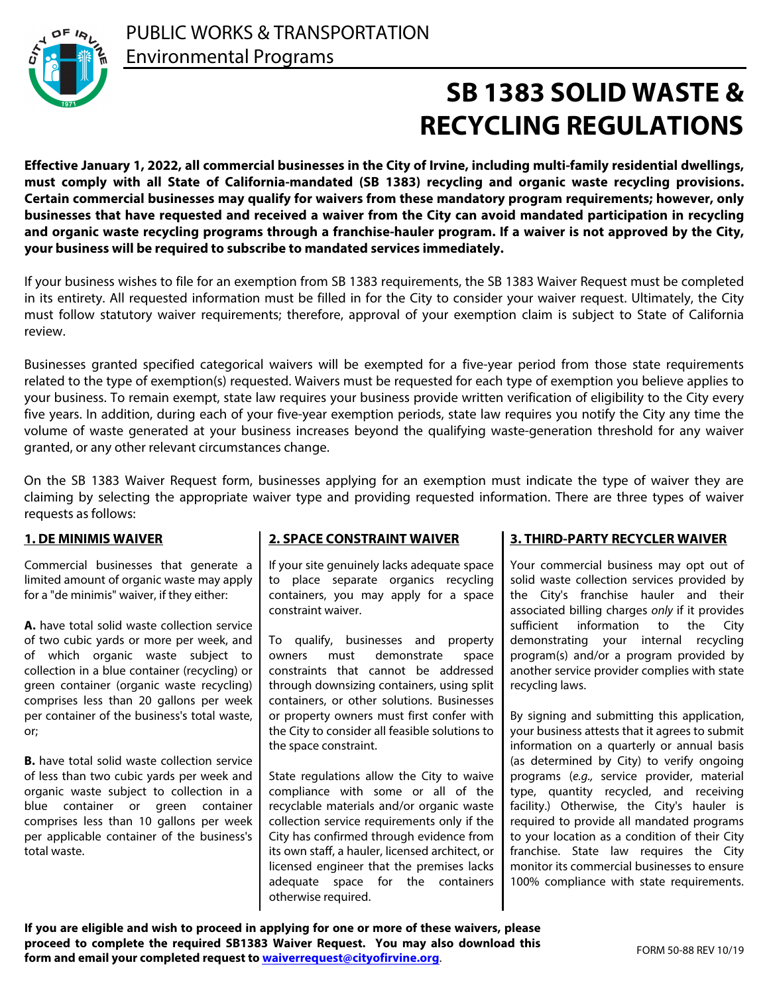

# **SB 1383 SOLID WASTE & RECYCLING REGULATIONS**

**Effective January 1, 2022, all commercial businesses in the City of Irvine, including multi-family residential dwellings, must comply with all State of California-mandated (SB 1383) recycling and organic waste recycling provisions. Certain commercial businesses may qualify for waivers from these mandatory program requirements; however, only businesses that have requested and received a waiver from the City can avoid mandated participation in recycling and organic waste recycling programs through a franchise-hauler program. If a waiver is not approved by the City, your business will be required to subscribe to mandated services immediately.** 

If your business wishes to file for an exemption from SB 1383 requirements, the SB 1383 Waiver Request must be completed in its entirety. All requested information must be filled in for the City to consider your waiver request. Ultimately, the City must follow statutory waiver requirements; therefore, approval of your exemption claim is subject to State of California review.

Businesses granted specified categorical waivers will be exempted for a five-year period from those state requirements related to the type of exemption(s) requested. Waivers must be requested for each type of exemption you believe applies to your business. To remain exempt, state law requires your business provide written verification of eligibility to the City every five years. In addition, during each of your five-year exemption periods, state law requires you notify the City any time the volume of waste generated at your business increases beyond the qualifying waste-generation threshold for any waiver granted, or any other relevant circumstances change.

On the SB 1383 Waiver Request form, businesses applying for an exemption must indicate the type of waiver they are claiming by selecting the appropriate waiver type and providing requested information. There are three types of waiver requests as follows:

#### **1. DE MINIMIS WAIVER**

Commercial businesses that generate a limited amount of organic waste may apply for a "de minimis" waiver, if they either:

**A.** have total solid waste collection service of two cubic yards or more per week, and of which organic waste subject to collection in a blue container (recycling) or green container (organic waste recycling) comprises less than 20 gallons per week per container of the business's total waste, or;

**B.** have total solid waste collection service of less than two cubic yards per week and organic waste subject to collection in a blue container or green container comprises less than 10 gallons per week per applicable container of the business's total waste.

### **2. SPACE CONSTRAINT WAIVER**

If your site genuinely lacks adequate space to place separate organics recycling containers, you may apply for a space constraint waiver.

To qualify, businesses and property owners must demonstrate space constraints that cannot be addressed through downsizing containers, using split containers, or other solutions. Businesses or property owners must first confer with the City to consider all feasible solutions to the space constraint.

State regulations allow the City to waive compliance with some or all of the recyclable materials and/or organic waste collection service requirements only if the City has confirmed through evidence from its own staff, a hauler, licensed architect, or licensed engineer that the premises lacks adequate space for the containers otherwise required.

#### **3. THIRD-PARTY RECYCLER WAIVER**

Your commercial business may opt out of solid waste collection services provided by the City's franchise hauler and their associated billing charges *only* if it provides sufficient information to the City demonstrating your internal recycling program(s) and/or a program provided by another service provider complies with state recycling laws.

By signing and submitting this application, your business attests that it agrees to submit information on a quarterly or annual basis (as determined by City) to verify ongoing programs (*e.g.,* service provider, material type, quantity recycled, and receiving facility.) Otherwise, the City's hauler is required to provide all mandated programs to your location as a condition of their City franchise. State law requires the City monitor its commercial businesses to ensure 100% compliance with state requirements.

**If you are eligible and wish to proceed in applying for one or more of these waivers, please proceed to complete the required SB1383 Waiver Request. You may also download this form and email your completed request to [waiverrequest@cityofirvine.org](mailto:waiverrequest@cityofirvine.org)**.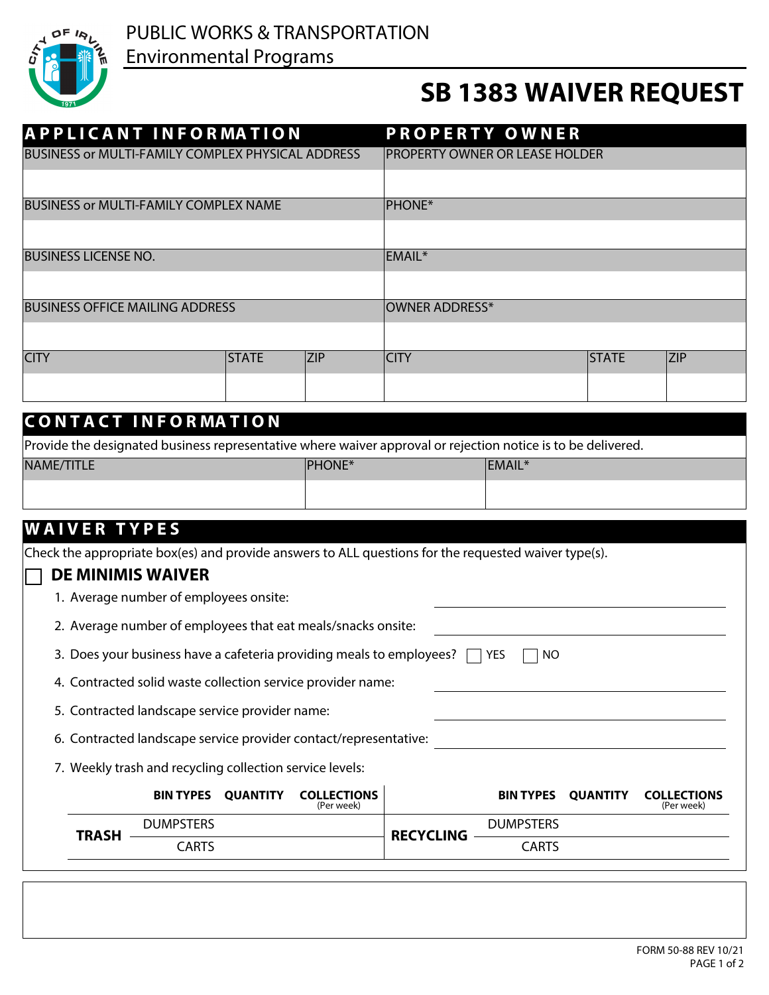

## **SB 1383 WAIVER REQUEST**

| <b>APPLICANT INFORMATION</b>                                                                                 |                                                                  |                          |                                  | <b>PROPERTY OWNER</b>          |                  |                 |                                  |
|--------------------------------------------------------------------------------------------------------------|------------------------------------------------------------------|--------------------------|----------------------------------|--------------------------------|------------------|-----------------|----------------------------------|
| BUSINESS or MULTI-FAMILY COMPLEX PHYSICAL ADDRESS                                                            |                                                                  |                          |                                  | PROPERTY OWNER OR LEASE HOLDER |                  |                 |                                  |
|                                                                                                              |                                                                  |                          |                                  |                                |                  |                 |                                  |
| <b>BUSINESS or MULTI-FAMILY COMPLEX NAME</b>                                                                 |                                                                  |                          |                                  | <b>PHONE*</b>                  |                  |                 |                                  |
|                                                                                                              |                                                                  |                          |                                  |                                |                  |                 |                                  |
| <b>BUSINESS LICENSE NO.</b>                                                                                  |                                                                  |                          |                                  | EMAIL*                         |                  |                 |                                  |
|                                                                                                              |                                                                  |                          |                                  |                                |                  |                 |                                  |
| <b>BUSINESS OFFICE MAILING ADDRESS</b>                                                                       |                                                                  |                          |                                  | OWNER ADDRESS*                 |                  |                 |                                  |
|                                                                                                              |                                                                  |                          |                                  |                                |                  |                 |                                  |
| <b>CITY</b>                                                                                                  |                                                                  | <b>STATE</b>             | <b>ZIP</b>                       | <b>CITY</b>                    |                  | <b>STATE</b>    | <b>ZIP</b>                       |
|                                                                                                              |                                                                  | $\vert \textbf{I} \vert$ |                                  |                                |                  |                 | $\vert \textbf{I} \vert$         |
|                                                                                                              |                                                                  |                          |                                  |                                |                  |                 |                                  |
| <b>CONTACT INFORMATION</b>                                                                                   |                                                                  |                          |                                  |                                |                  |                 |                                  |
| Provide the designated business representative where waiver approval or rejection notice is to be delivered. |                                                                  |                          |                                  |                                |                  |                 |                                  |
| NAME/TITLE                                                                                                   |                                                                  |                          | <b>PHONE*</b>                    |                                | EMAIL*           |                 |                                  |
|                                                                                                              |                                                                  |                          |                                  |                                |                  |                 |                                  |
| <b>WAIVER TYPES</b>                                                                                          |                                                                  |                          |                                  |                                |                  |                 |                                  |
| Check the appropriate box(es) and provide answers to ALL questions for the requested waiver type(s).         |                                                                  |                          |                                  |                                |                  |                 |                                  |
|                                                                                                              | <b>DE MINIMIS WAIVER</b>                                         |                          |                                  |                                |                  |                 |                                  |
|                                                                                                              | 1. Average number of employees onsite:                           |                          |                                  |                                |                  |                 |                                  |
| 2. Average number of employees that eat meals/snacks onsite:                                                 |                                                                  |                          |                                  |                                |                  |                 |                                  |
| 3. Does your business have a cafeteria providing meals to employees? [<br>YES<br><b>NO</b>                   |                                                                  |                          |                                  |                                |                  |                 |                                  |
|                                                                                                              | 4. Contracted solid waste collection service provider name:      |                          |                                  |                                |                  |                 |                                  |
|                                                                                                              | 5. Contracted landscape service provider name:                   |                          |                                  |                                |                  |                 |                                  |
|                                                                                                              |                                                                  |                          |                                  |                                |                  |                 |                                  |
|                                                                                                              | 6. Contracted landscape service provider contact/representative: |                          |                                  |                                |                  |                 |                                  |
|                                                                                                              | 7. Weekly trash and recycling collection service levels:         |                          |                                  |                                |                  |                 |                                  |
|                                                                                                              | <b>BIN TYPES</b>                                                 | <b>QUANTITY</b>          | <b>COLLECTIONS</b><br>(Per week) |                                | <b>BIN TYPES</b> | <b>QUANTITY</b> | <b>COLLECTIONS</b><br>(Per week) |
| <b>TRASH</b>                                                                                                 | <b>DUMPSTERS</b>                                                 |                          |                                  | <b>RECYCLING</b>               | <b>DUMPSTERS</b> |                 |                                  |
|                                                                                                              | <b>CARTS</b>                                                     |                          |                                  |                                | <b>CARTS</b>     |                 |                                  |